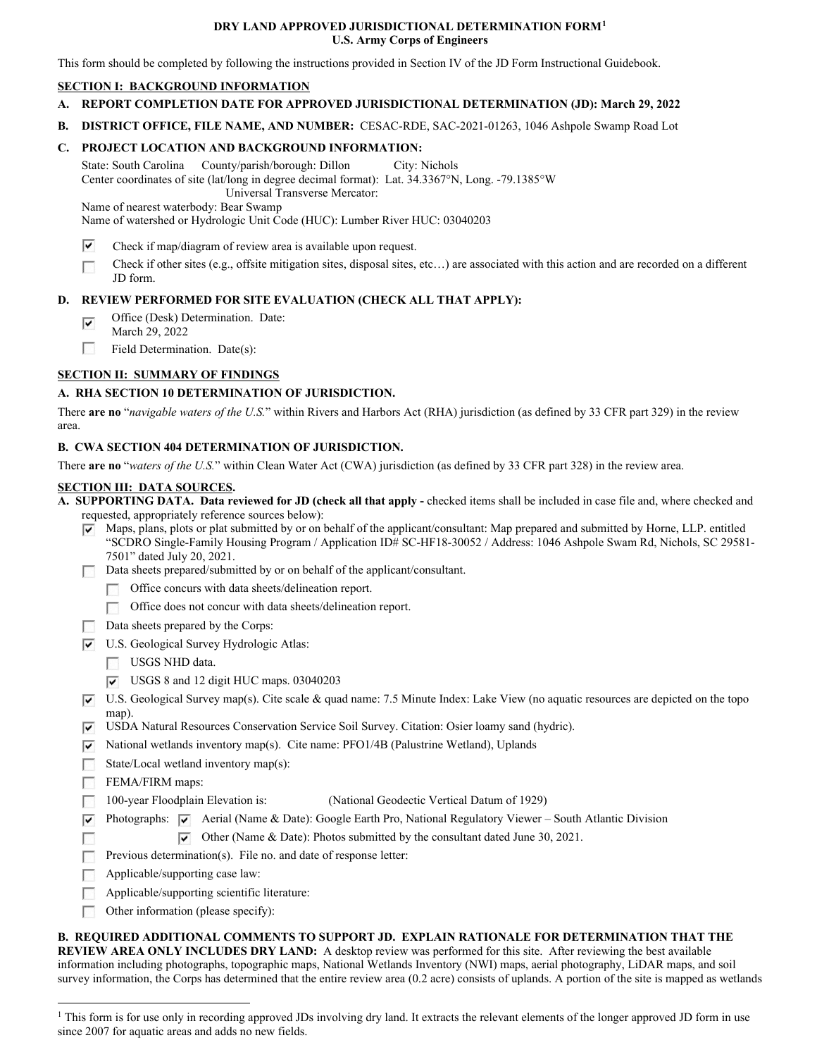#### **DRY LAND APPROVED JURISDICTIONAL DETERMINATION FORM[1](#page-0-0) U.S. Army Corps of Engineers**

This form should be completed by following the instructions provided in Section IV of the JD Form Instructional Guidebook.

#### **SECTION I: BACKGROUND INFORMATION**

- **A. REPORT COMPLETION DATE FOR APPROVED JURISDICTIONAL DETERMINATION (JD): March 29, 2022**
- **B. DISTRICT OFFICE, FILE NAME, AND NUMBER:** CESAC-RDE, SAC-2021-01263, 1046 Ashpole Swamp Road Lot

## **C. PROJECT LOCATION AND BACKGROUND INFORMATION:**

 State: South Carolina County/parish/borough: Dillon City: Nichols Center coordinates of site (lat/long in degree decimal format): Lat. 34.3367°N, Long. -79.1385°W Universal Transverse Mercator:

Name of nearest waterbody: Bear Swamp

Name of watershed or Hydrologic Unit Code (HUC): Lumber River HUC: 03040203

- $\overline{\mathbf{v}}$ Check if map/diagram of review area is available upon request.
- Check if other sites (e.g., offsite mitigation sites, disposal sites, etc…) are associated with this action and are recorded on a different D JD form.

### **D. REVIEW PERFORMED FOR SITE EVALUATION (CHECK ALL THAT APPLY):**

- $\overline{\mathbf{v}}$ Office (Desk) Determination. Date:
- March 29, 2022
- D Field Determination. Date(s):

# **SECTION II: SUMMARY OF FINDINGS**

# **A. RHA SECTION 10 DETERMINATION OF JURISDICTION.**

 There **are no** "*navigable waters of the U.S.*" within Rivers and Harbors Act (RHA) jurisdiction (as defined by 33 CFR part 329) in the review area.

### **B. CWA SECTION 404 DETERMINATION OF JURISDICTION.**

There **are no** "*waters of the U.S.*" within Clean Water Act (CWA) jurisdiction (as defined by 33 CFR part 328) in the review area.

#### **SECTION III: DATA SOURCES.**

 requested, appropriately reference sources below): **A. SUPPORTING DATA. Data reviewed for JD (check all that apply -** checked items shall be included in case file and, where checked and

- $\Psi$  Maps, plans, plots or plat submitted by or on behalf of the applicant/consultant: Map prepared and submitted by Horne, LLP. entitled "SCDRO Single-Family Housing Program / Application ID# SC-HF18-30052 / Address: 1046 Ashpole Swam Rd, Nichols, SC 29581- 7501" dated July 20, 2021.
- Data sheets prepared/submitted by or on behalf of the applicant/consultant.
	- Office concurs with data sheets/delineation report.
	- D Office does not concur with data sheets/delineation report.
- Data sheets prepared by the Corps:
- U.S. Geological Survey Hydrologic Atlas:
	- USGS NHD data.
	- USGS 8 and 12 digit HUC maps. 03040203
- U.S. Geological Survey map(s). Cite scale & quad name: 7.5 Minute Index: Lake View (no aquatic resources are depicted on the topo map).
- USDA Natural Resources Conservation Service Soil Survey. Citation: Osier loamy sand (hydric).
- $\blacktriangledown$  National wetlands inventory map(s). Cite name: PFO1/4B (Palustrine Wetland), Uplands
- **Designation** State/Local wetland inventory map(s):
- FEMA/FIRM maps:
- $\Box$  100-year Floodplain Elevation is: (National Geodectic Vertical Datum of 1929)
- Photographs:  $\blacktriangledown$  Aerial (Name & Date): Google Earth Pro, National Regulatory Viewer South Atlantic Division

**D** Other (Name & Date): Photos submitted by the consultant dated June 30, 2021.

- Previous determination(s). File no. and date of response letter:
- Applicable/supporting case law: **Designation**
- **D** Applicable/supporting scientific literature:
- **DR** Other information (please specify):

 **REVIEW AREA ONLY INCLUDES DRY LAND:** A desktop review was performed for this site. After reviewing the best available **B. REQUIRED ADDITIONAL COMMENTS TO SUPPORT JD. EXPLAIN RATIONALE FOR DETERMINATION THAT THE**  information including photographs, topographic maps, National Wetlands Inventory (NWI) maps, aerial photography, LiDAR maps, and soil survey information, the Corps has determined that the entire review area (0.2 acre) consists of uplands. A portion of the site is mapped as wetlands

<span id="page-0-0"></span><sup>&</sup>lt;sup>1</sup> This form is for use only in recording approved JDs involving dry land. It extracts the relevant elements of the longer approved JD form in use since 2007 for aquatic areas and adds no new fields.